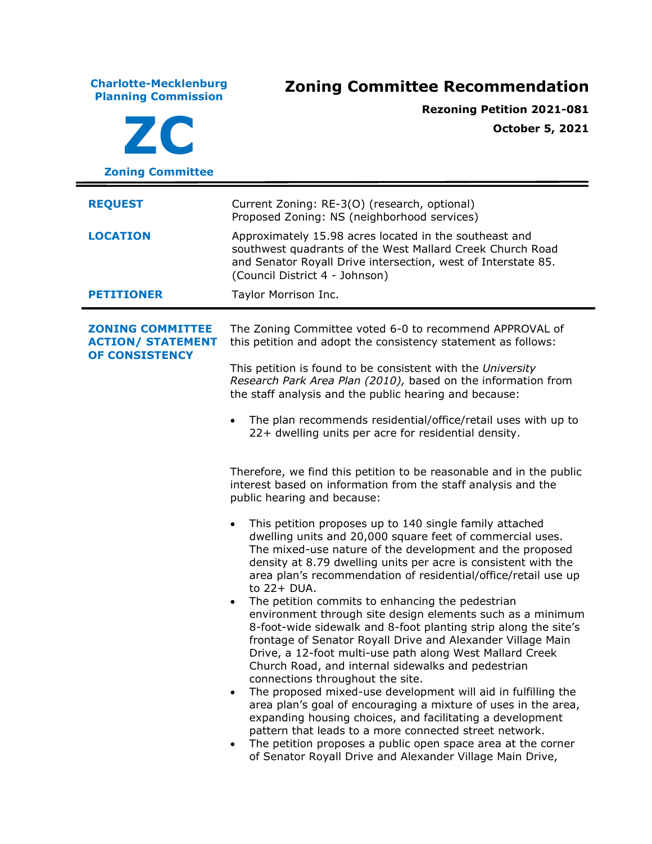**Charlotte-Mecklenburg Planning Commission Zoning Committee Recommendation ZC Zoning Committee Rezoning Petition 2021-081 October 5, 2021 REQUEST** Current Zoning: RE-3(O) (research, optional) Proposed Zoning: NS (neighborhood services) **LOCATION** Approximately 15.98 acres located in the southeast and southwest quadrants of the West Mallard Creek Church Road and Senator Royall Drive intersection, west of Interstate 85. (Council District 4 - Johnson) **PETITIONER** Taylor Morrison Inc. **ZONING COMMITTEE ACTION/ STATEMENT OF CONSISTENCY** The Zoning Committee voted 6-0 to recommend APPROVAL of this petition and adopt the consistency statement as follows: This petition is found to be consistent with the *University Research Park Area Plan (2010),* based on the information from the staff analysis and the public hearing and because: • The plan recommends residential/office/retail uses with up to 22+ dwelling units per acre for residential density. Therefore, we find this petition to be reasonable and in the public interest based on information from the staff analysis and the public hearing and because: • This petition proposes up to 140 single family attached dwelling units and 20,000 square feet of commercial uses. The mixed-use nature of the development and the proposed density at 8.79 dwelling units per acre is consistent with the area plan's recommendation of residential/office/retail use up to 22+ DUA. • The petition commits to enhancing the pedestrian environment through site design elements such as a minimum 8-foot-wide sidewalk and 8-foot planting strip along the site's frontage of Senator Royall Drive and Alexander Village Main Drive, a 12-foot multi-use path along West Mallard Creek Church Road, and internal sidewalks and pedestrian connections throughout the site. • The proposed mixed-use development will aid in fulfilling the area plan's goal of encouraging a mixture of uses in the area, expanding housing choices, and facilitating a development pattern that leads to a more connected street network. • The petition proposes a public open space area at the corner of Senator Royall Drive and Alexander Village Main Drive,